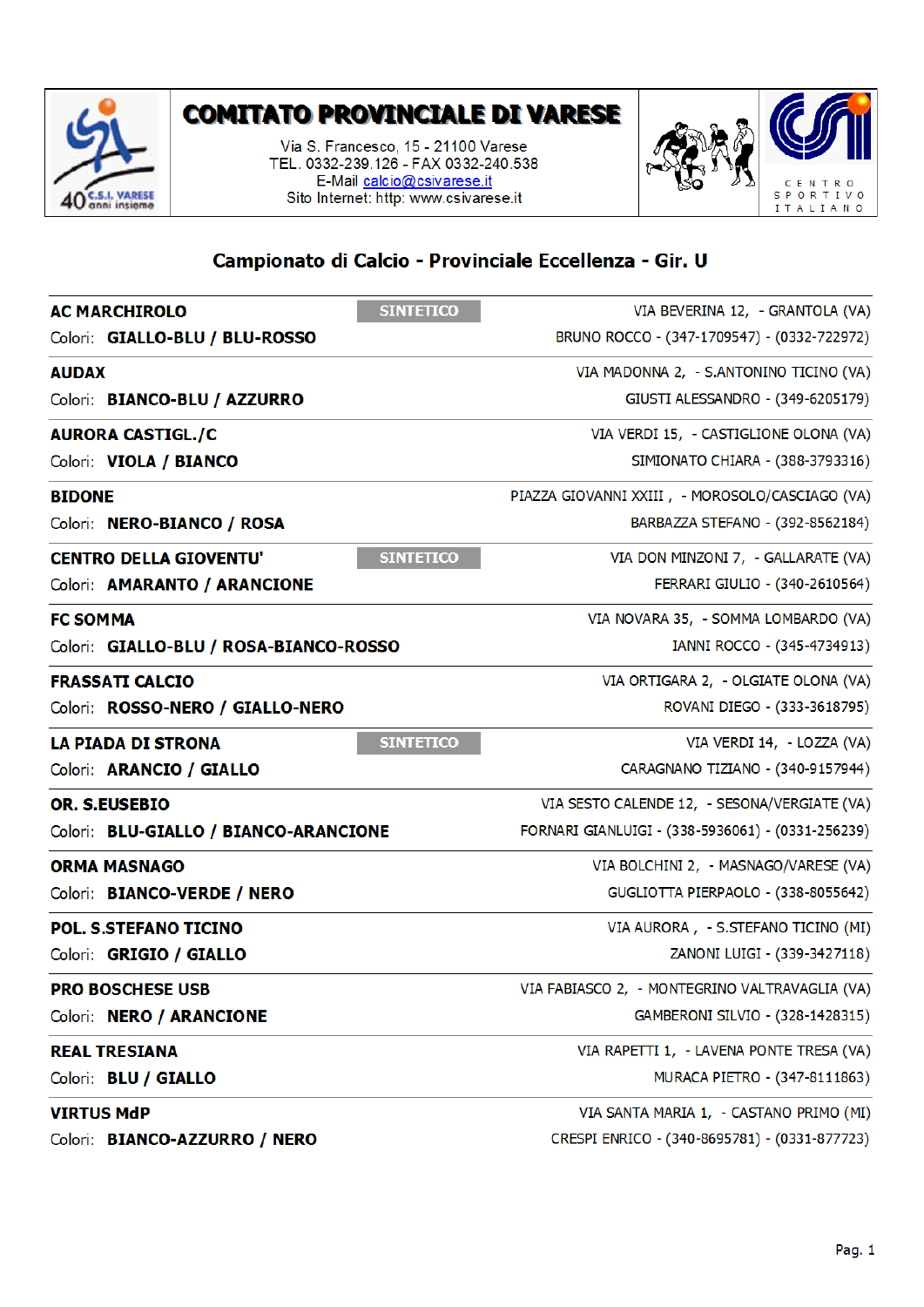

## **COMITATO PROVINCIALE DI VARESE**

Via S. Francesco, 15 - 21100 Varese TEL. 0332-239.126 - FAX 0332-240.538 E-Mail calcio@csivarese.it Sito Internet: http: www.csivarese.it



## Campionato di Calcio - Provinciale Eccellenza - Gir. U

| <b>SINTETICO</b><br><b>AC MARCHIROLO</b>          | VIA BEVERINA 12, - GRANTOLA (VA)                  |
|---------------------------------------------------|---------------------------------------------------|
| Colori: GIALLO-BLU / BLU-ROSSO                    | BRUNO ROCCO - (347-1709547) - (0332-722972)       |
| <b>AUDAX</b>                                      | VIA MADONNA 2, - S.ANTONINO TICINO (VA)           |
| Colori: BIANCO-BLU / AZZURRO                      | GIUSTI ALESSANDRO - (349-6205179)                 |
| <b>AURORA CASTIGL./C</b>                          | VIA VERDI 15, - CASTIGLIONE OLONA (VA)            |
| Colori: VIOLA / BIANCO                            | SIMIONATO CHIARA - (388-3793316)                  |
| <b>BIDONE</b>                                     | PIAZZA GIOVANNI XXIII, - MOROSOLO/CASCIAGO (VA)   |
| Colori: NERO-BIANCO / ROSA                        | BARBAZZA STEFANO - (392-8562184)                  |
| <b>CENTRO DELLA GIOVENTU'</b><br><b>SINTETICO</b> | VIA DON MINZONI 7, - GALLARATE (VA)               |
| Colori: AMARANTO / ARANCIONE                      | FERRARI GIULIO - (340-2610564)                    |
| <b>FC SOMMA</b>                                   | VIA NOVARA 35, - SOMMA LOMBARDO (VA)              |
| Colori: GIALLO-BLU / ROSA-BIANCO-ROSSO            | IANNI ROCCO - (345-4734913)                       |
| <b>FRASSATI CALCIO</b>                            | VIA ORTIGARA 2, - OLGIATE OLONA (VA)              |
| Colori: ROSSO-NERO / GIALLO-NERO                  | ROVANI DIEGO - (333-3618795)                      |
| <b>SINTETICO</b><br><b>LA PIADA DI STRONA</b>     | VIA VERDI 14, - LOZZA (VA)                        |
| Colori: ARANCIO / GIALLO                          | CARAGNANO TIZIANO - (340-9157944)                 |
| <b>OR. S.EUSEBIO</b>                              | VIA SESTO CALENDE 12, - SESONA/VERGIATE (VA)      |
| Colori: BLU-GIALLO / BIANCO-ARANCIONE             | FORNARI GIANLUIGI - (338-5936061) - (0331-256239) |
| <b>ORMA MASNAGO</b>                               | VIA BOLCHINI 2, - MASNAGO/VARESE (VA)             |
| Colori: BIANCO-VERDE / NERO                       | GUGLIOTTA PIERPAOLO - (338-8055642)               |
| <b>POL. S.STEFANO TICINO</b>                      | VIA AURORA, - S.STEFANO TICINO (MI)               |
| Colori: GRIGIO / GIALLO                           | ZANONI LUIGI - (339-3427118)                      |
| <b>PRO BOSCHESE USB</b>                           | VIA FABIASCO 2, - MONTEGRINO VALTRAVAGLIA (VA)    |
| Colori: NERO / ARANCIONE                          | GAMBERONI SILVIO - (328-1428315)                  |
| <b>REAL TRESIANA</b>                              | VIA RAPETTI 1, - LAVENA PONTE TRESA (VA)          |
| Colori: BLU / GIALLO                              | MURACA PIETRO - (347-8111863)                     |
| <b>VIRTUS MdP</b>                                 | VIA SANTA MARIA 1, - CASTANO PRIMO (MI)           |
| Colori: BIANCO-AZZURRO / NERO                     | CRESPI ENRICO - (340-8695781) - (0331-877723)     |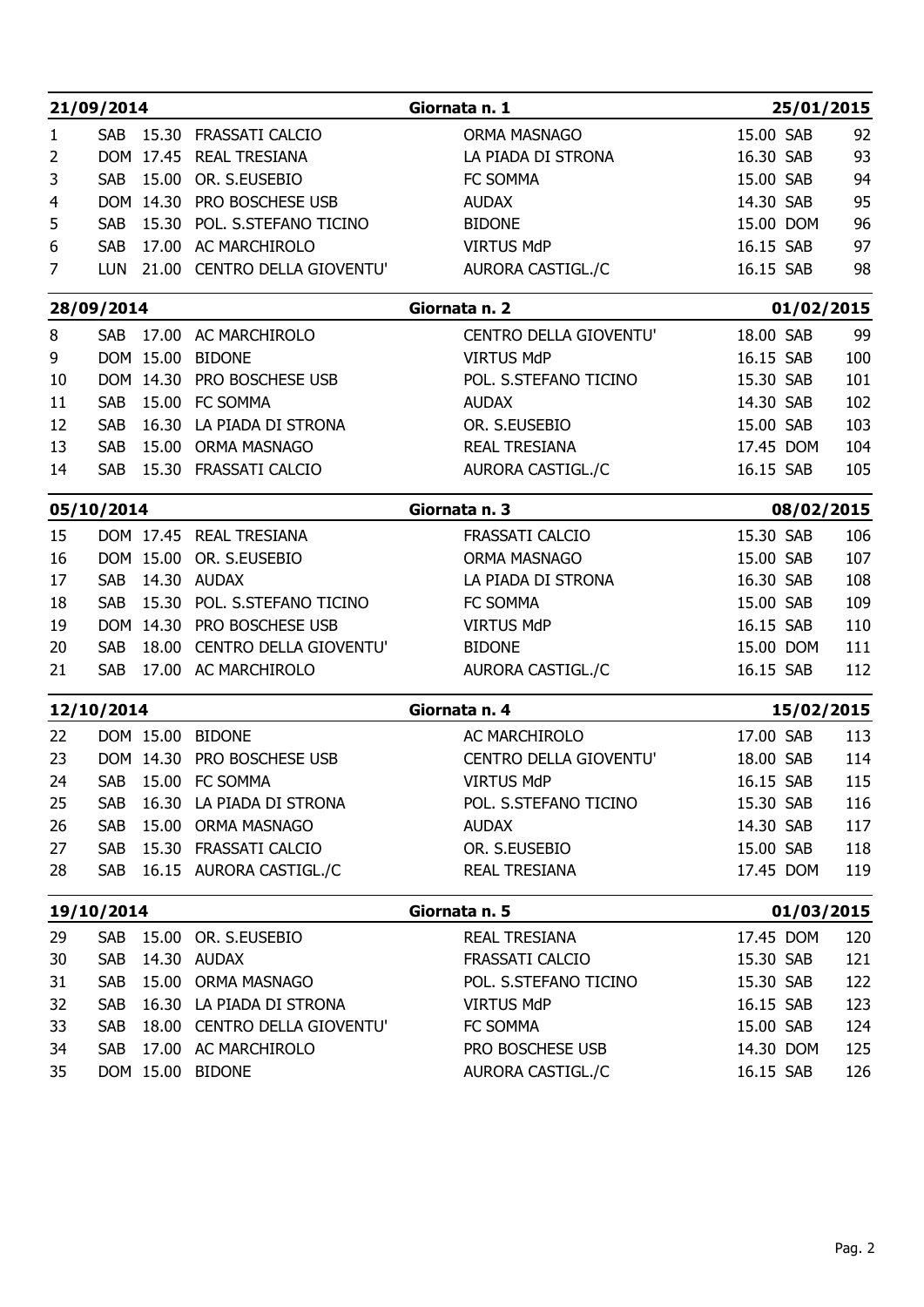|          | 21/09/2014                  |           |                                                                | Giornata n. 1                          |                        | 25/01/2015 |
|----------|-----------------------------|-----------|----------------------------------------------------------------|----------------------------------------|------------------------|------------|
| 1        | <b>SAB</b>                  |           | 15.30 FRASSATI CALCIO                                          | ORMA MASNAGO                           | 15.00 SAB              | 92         |
| 2        |                             |           | DOM 17.45 REAL TRESIANA                                        | LA PIADA DI STRONA                     | 16.30 SAB              | 93         |
| 3        | <b>SAB</b>                  | 15.00     | OR. S.EUSEBIO                                                  | FC SOMMA                               | 15.00 SAB              | 94         |
| 4        |                             | DOM 14.30 | PRO BOSCHESE USB                                               | <b>AUDAX</b>                           | 14.30 SAB              | 95         |
| 5        | <b>SAB</b>                  | 15.30     | POL. S.STEFANO TICINO                                          | <b>BIDONE</b>                          | 15.00 DOM              | 96         |
| 6<br>7   | <b>SAB</b><br><b>LUN</b>    |           | 17.00 AC MARCHIROLO<br>21.00 CENTRO DELLA GIOVENTU'            | <b>VIRTUS MdP</b><br>AURORA CASTIGL./C | 16.15 SAB<br>16.15 SAB | 97<br>98   |
|          |                             |           |                                                                |                                        |                        |            |
|          | 28/09/2014                  |           |                                                                | Giornata n. 2                          |                        | 01/02/2015 |
| 8        | <b>SAB</b>                  | 17.00     | <b>AC MARCHIROLO</b>                                           | CENTRO DELLA GIOVENTU'                 | 18.00 SAB              | 99         |
| 9        |                             |           | DOM 15.00 BIDONE                                               | <b>VIRTUS MdP</b>                      | 16.15 SAB              | 100        |
| 10       |                             | DOM 14.30 | PRO BOSCHESE USB                                               | POL. S.STEFANO TICINO                  | 15.30 SAB              | 101        |
| 11       | <b>SAB</b>                  |           | 15.00 FC SOMMA                                                 | <b>AUDAX</b>                           | 14.30 SAB              | 102        |
| 12       | <b>SAB</b>                  | 16.30     | LA PIADA DI STRONA                                             | OR. S.EUSEBIO                          | 15.00 SAB              | 103        |
| 13       | <b>SAB</b>                  |           | 15.00 ORMA MASNAGO                                             | <b>REAL TRESIANA</b>                   | 17.45 DOM              | 104        |
| 14       | <b>SAB</b>                  |           | 15.30 FRASSATI CALCIO                                          | AURORA CASTIGL./C                      | 16.15 SAB              | 105        |
|          | 05/10/2014                  |           |                                                                | Giornata n. 3                          |                        | 08/02/2015 |
| 15       |                             |           | DOM 17.45 REAL TRESIANA                                        | FRASSATI CALCIO                        | 15.30 SAB              | 106        |
| 16       |                             |           | DOM 15.00 OR. S.EUSEBIO                                        | ORMA MASNAGO                           | 15.00 SAB              | 107        |
| 17       |                             |           | SAB 14.30 AUDAX                                                | LA PIADA DI STRONA                     | 16.30 SAB              | 108        |
| 18       |                             |           | SAB 15.30 POL. S.STEFANO TICINO                                | FC SOMMA                               | 15.00 SAB              | 109        |
| 19       |                             |           | DOM 14.30 PRO BOSCHESE USB<br>SAB 18.00 CENTRO DELLA GIOVENTU' | <b>VIRTUS MdP</b>                      | 16.15 SAB              | 110        |
| 20<br>21 |                             |           | SAB 17.00 AC MARCHIROLO                                        | <b>BIDONE</b><br>AURORA CASTIGL./C     | 15.00 DOM<br>16.15 SAB | 111<br>112 |
|          |                             |           |                                                                |                                        |                        |            |
|          | 12/10/2014                  |           |                                                                | Giornata n. 4                          |                        | 15/02/2015 |
| 22       |                             |           | DOM 15.00 BIDONE                                               | AC MARCHIROLO                          | 17.00 SAB              | 113        |
| 23       |                             |           | DOM 14.30 PRO BOSCHESE USB                                     | CENTRO DELLA GIOVENTU'                 | 18.00 SAB              | 114        |
| 24       |                             |           | SAB 15.00 FC SOMMA                                             | <b>VIRTUS MdP</b>                      | 16.15 SAB              | 115        |
| 25       | SAB                         |           | 16.30 LA PIADA DI STRONA                                       | POL. S.STEFANO TICINO                  | 15.30 SAB              | 116        |
| 26       | <b>SAB</b>                  |           | 15.00 ORMA MASNAGO                                             | <b>AUDAX</b>                           | 14.30 SAB              | 117        |
| 27<br>28 | <b>SAB</b>                  |           | 15.30 FRASSATI CALCIO<br>SAB 16.15 AURORA CASTIGL./C           | OR. S.EUSEBIO<br>REAL TRESIANA         | 15.00 SAB<br>17.45 DOM | 118<br>119 |
|          |                             |           |                                                                |                                        |                        |            |
|          | 19/10/2014<br>Giornata n. 5 |           |                                                                | 01/03/2015                             |                        |            |
| 29       | SAB                         |           | 15.00 OR. S.EUSEBIO                                            | REAL TRESIANA                          | 17.45 DOM              | 120        |
| 30       | <b>SAB</b>                  |           | 14.30 AUDAX                                                    | FRASSATI CALCIO                        | 15.30 SAB              | 121        |
| 31       | <b>SAB</b>                  |           | 15.00 ORMA MASNAGO                                             | POL. S.STEFANO TICINO                  | 15.30 SAB              | 122        |
| 32       | <b>SAB</b>                  |           | 16.30 LA PIADA DI STRONA                                       | <b>VIRTUS MdP</b>                      | 16.15 SAB              | 123        |
| 33       | <b>SAB</b>                  |           | 18.00 CENTRO DELLA GIOVENTU'                                   | FC SOMMA                               | 15.00 SAB              | 124        |
| 34       | <b>SAB</b>                  |           | 17.00 AC MARCHIROLO<br>DOM 15.00 BIDONE                        | PRO BOSCHESE USB                       | 14.30 DOM<br>16.15 SAB | 125<br>126 |
| 35       |                             |           |                                                                | AURORA CASTIGL./C                      |                        |            |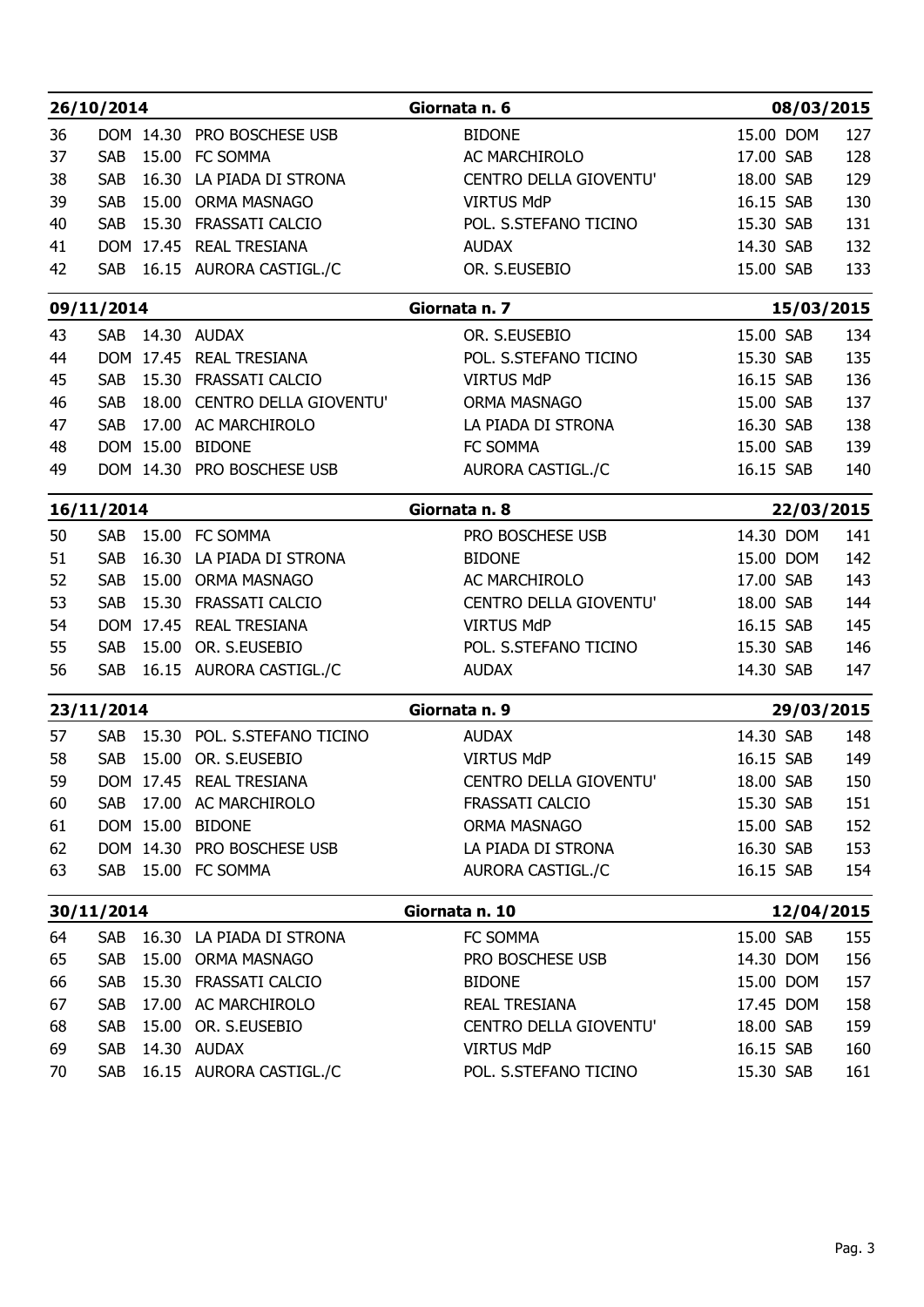|          | 26/10/2014                   |           |                                            | Giornata n. 6                           | 08/03/2015             |            |
|----------|------------------------------|-----------|--------------------------------------------|-----------------------------------------|------------------------|------------|
| 36       |                              |           | DOM 14.30 PRO BOSCHESE USB                 | <b>BIDONE</b>                           | 15.00 DOM              | 127        |
| 37       | <b>SAB</b>                   |           | 15.00 FC SOMMA                             | AC MARCHIROLO                           | 17.00 SAB              | 128        |
| 38       | SAB                          |           | 16.30 LA PIADA DI STRONA                   | CENTRO DELLA GIOVENTU'                  | 18.00 SAB              | 129        |
| 39       | <b>SAB</b>                   |           | 15.00 ORMA MASNAGO                         | <b>VIRTUS MdP</b>                       | 16.15 SAB              | 130        |
| 40       | <b>SAB</b>                   |           | 15.30 FRASSATI CALCIO                      | POL. S.STEFANO TICINO                   | 15.30 SAB              | 131        |
| 41       |                              |           | DOM 17.45 REAL TRESIANA                    | <b>AUDAX</b>                            | 14.30 SAB              | 132        |
| 42       | <b>SAB</b>                   |           | 16.15 AURORA CASTIGL./C                    | OR. S.EUSEBIO                           | 15.00 SAB              | 133        |
|          | 09/11/2014                   |           |                                            | Giornata n. 7                           | 15/03/2015             |            |
| 43       | <b>SAB</b>                   |           | 14.30 AUDAX                                | OR. S.EUSEBIO                           | 15.00 SAB              | 134        |
| 44       |                              |           | DOM 17.45 REAL TRESIANA                    | POL. S.STEFANO TICINO                   | 15.30 SAB              | 135        |
| 45       | <b>SAB</b>                   |           | 15.30 FRASSATI CALCIO                      | <b>VIRTUS MdP</b>                       | 16.15 SAB              | 136        |
| 46       | <b>SAB</b>                   |           | 18.00 CENTRO DELLA GIOVENTU'               | ORMA MASNAGO                            | 15.00 SAB              | 137        |
| 47       | <b>SAB</b>                   |           | 17.00 AC MARCHIROLO                        | LA PIADA DI STRONA                      | 16.30 SAB              | 138        |
| 48       |                              | DOM 15.00 | <b>BIDONE</b>                              | FC SOMMA                                | 15.00 SAB              | 139        |
| 49       |                              |           | DOM 14.30 PRO BOSCHESE USB                 | AURORA CASTIGL./C                       | 16.15 SAB              | 140        |
|          | 16/11/2014                   |           |                                            | Giornata n. 8                           | 22/03/2015             |            |
| 50<br>51 | SAB<br><b>SAB</b>            |           | 15.00 FC SOMMA<br>16.30 LA PIADA DI STRONA | PRO BOSCHESE USB<br><b>BIDONE</b>       | 14.30 DOM<br>15.00 DOM | 141<br>142 |
| 52       |                              |           | SAB 15.00 ORMA MASNAGO                     | AC MARCHIROLO                           | 17.00 SAB              | 143        |
| 53       |                              |           | SAB 15.30 FRASSATI CALCIO                  | CENTRO DELLA GIOVENTU'                  | 18.00 SAB              | 144        |
| 54       |                              |           | DOM 17.45 REAL TRESIANA                    | <b>VIRTUS MdP</b>                       | 16.15 SAB              | 145        |
| 55       |                              |           | SAB 15.00 OR. S.EUSEBIO                    | POL. S.STEFANO TICINO                   | 15.30 SAB              | 146        |
| 56       |                              |           | SAB 16.15 AURORA CASTIGL./C                | <b>AUDAX</b>                            | 14.30 SAB              | 147        |
|          | 23/11/2014                   |           |                                            | Giornata n. 9                           | 29/03/2015             |            |
| 57       |                              |           | SAB 15.30 POL. S.STEFANO TICINO            | <b>AUDAX</b>                            | 14.30 SAB              | 148        |
| 58       |                              |           | SAB 15.00 OR. S.EUSEBIO                    | <b>VIRTUS MdP</b>                       | 16.15 SAB              | 149        |
| 59       |                              |           | DOM 17.45 REAL TRESIANA                    | CENTRO DELLA GIOVENTU'                  | 18.00 SAB              | 150        |
| 60       |                              |           | SAB 17.00 AC MARCHIROLO                    | FRASSATI CALCIO                         | 15.30 SAB              | 151        |
| 61       |                              |           | DOM 15.00 BIDONE                           | ORMA MASNAGO                            | 15.00 SAB              | 152        |
| 62       |                              |           | DOM 14.30 PRO BOSCHESE USB                 | LA PIADA DI STRONA                      | 16.30 SAB              | 153        |
| 63       |                              |           | SAB 15.00 FC SOMMA                         | AURORA CASTIGL./C                       | 16.15 SAB              | 154        |
|          | 30/11/2014<br>Giornata n. 10 |           | 12/04/2015                                 |                                         |                        |            |
| 64       |                              |           | SAB 16.30 LA PIADA DI STRONA               | FC SOMMA                                | 15.00 SAB              | 155        |
| 65       | SAB                          |           | 15.00 ORMA MASNAGO                         | PRO BOSCHESE USB                        | 14.30 DOM              | 156        |
| 66       | SAB                          |           | 15.30 FRASSATI CALCIO                      | <b>BIDONE</b>                           | 15.00 DOM              | 157        |
| 67       | <b>SAB</b>                   |           | 17.00 AC MARCHIROLO<br>15.00 OR. S.EUSEBIO | REAL TRESIANA<br>CENTRO DELLA GIOVENTU' | 17.45 DOM              | 158<br>159 |
| 68<br>69 | SAB<br>SAB                   |           | 14.30 AUDAX                                | <b>VIRTUS MdP</b>                       | 18.00 SAB<br>16.15 SAB | 160        |
| 70       | <b>SAB</b>                   |           | 16.15 AURORA CASTIGL./C                    | POL. S.STEFANO TICINO                   | 15.30 SAB              | 161        |